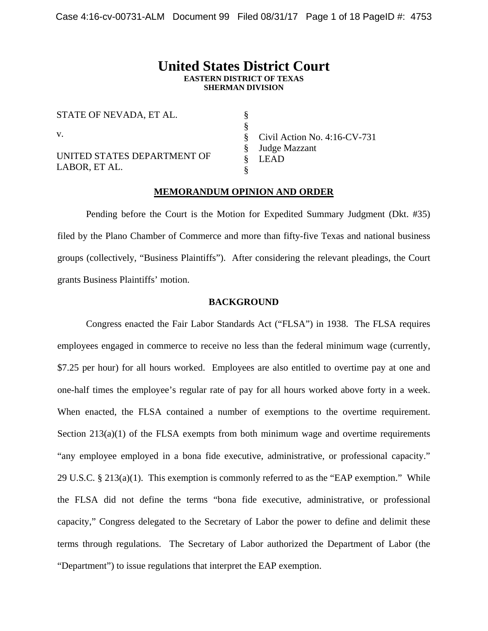# **United States District Court EASTERN DISTRICT OF TEXAS SHERMAN DIVISION**

§ §

STATE OF NEVADA, ET AL. v. UNITED STATES DEPARTMENT OF LABOR, ET AL.

§ § § Civil Action No. 4:16-CV-731 Judge Mazzant LEAD

# **MEMORANDUM OPINION AND ORDER**

§

 Pending before the Court is the Motion for Expedited Summary Judgment (Dkt. #35) filed by the Plano Chamber of Commerce and more than fifty-five Texas and national business groups (collectively, "Business Plaintiffs"). After considering the relevant pleadings, the Court grants Business Plaintiffs' motion.

## **BACKGROUND**

Congress enacted the Fair Labor Standards Act ("FLSA") in 1938. The FLSA requires employees engaged in commerce to receive no less than the federal minimum wage (currently, \$7.25 per hour) for all hours worked. Employees are also entitled to overtime pay at one and one-half times the employee's regular rate of pay for all hours worked above forty in a week. When enacted, the FLSA contained a number of exemptions to the overtime requirement. Section  $213(a)(1)$  of the FLSA exempts from both minimum wage and overtime requirements "any employee employed in a bona fide executive, administrative, or professional capacity." 29 U.S*.*C. § 213(a)(1). This exemption is commonly referred to as the "EAP exemption." While the FLSA did not define the terms "bona fide executive, administrative, or professional capacity," Congress delegated to the Secretary of Labor the power to define and delimit these terms through regulations. The Secretary of Labor authorized the Department of Labor (the "Department") to issue regulations that interpret the EAP exemption.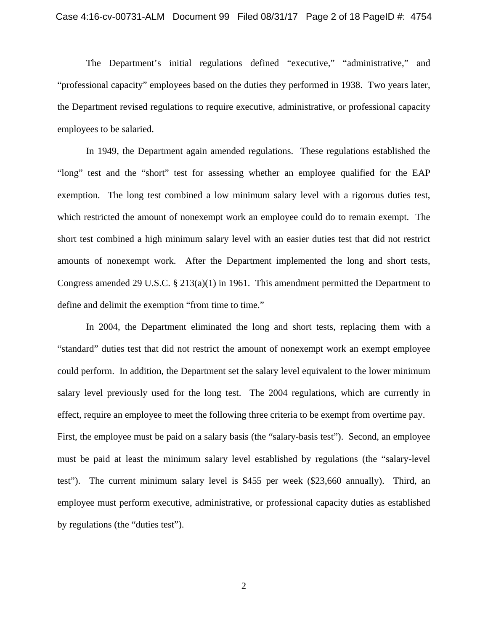The Department's initial regulations defined "executive," "administrative," and "professional capacity" employees based on the duties they performed in 1938. Two years later, the Department revised regulations to require executive, administrative, or professional capacity employees to be salaried.

In 1949, the Department again amended regulations. These regulations established the "long" test and the "short" test for assessing whether an employee qualified for the EAP exemption. The long test combined a low minimum salary level with a rigorous duties test, which restricted the amount of nonexempt work an employee could do to remain exempt. The short test combined a high minimum salary level with an easier duties test that did not restrict amounts of nonexempt work. After the Department implemented the long and short tests, Congress amended 29 U.S.C.  $\S 213(a)(1)$  in 1961. This amendment permitted the Department to define and delimit the exemption "from time to time."

In 2004, the Department eliminated the long and short tests, replacing them with a "standard" duties test that did not restrict the amount of nonexempt work an exempt employee could perform. In addition, the Department set the salary level equivalent to the lower minimum salary level previously used for the long test. The 2004 regulations, which are currently in effect, require an employee to meet the following three criteria to be exempt from overtime pay. First, the employee must be paid on a salary basis (the "salary-basis test"). Second, an employee must be paid at least the minimum salary level established by regulations (the "salary-level test"). The current minimum salary level is \$455 per week (\$23,660 annually). Third, an employee must perform executive, administrative, or professional capacity duties as established by regulations (the "duties test").

2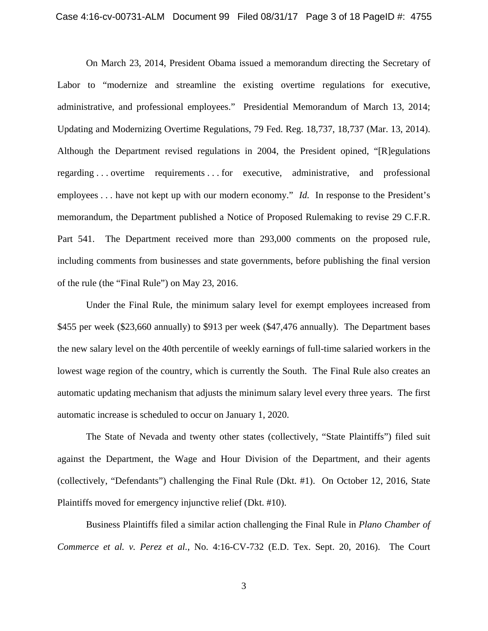On March 23, 2014, President Obama issued a memorandum directing the Secretary of Labor to "modernize and streamline the existing overtime regulations for executive, administrative, and professional employees." Presidential Memorandum of March 13, 2014; Updating and Modernizing Overtime Regulations, 79 Fed. Reg. 18,737, 18,737 (Mar. 13, 2014). Although the Department revised regulations in 2004, the President opined, "[R]egulations regarding . . . overtime requirements . . . for executive, administrative, and professional employees . . . have not kept up with our modern economy." *Id.* In response to the President's memorandum, the Department published a Notice of Proposed Rulemaking to revise 29 C.F.R. Part 541. The Department received more than 293,000 comments on the proposed rule, including comments from businesses and state governments, before publishing the final version of the rule (the "Final Rule") on May 23, 2016.

Under the Final Rule, the minimum salary level for exempt employees increased from \$455 per week (\$23,660 annually) to \$913 per week (\$47,476 annually). The Department bases the new salary level on the 40th percentile of weekly earnings of full-time salaried workers in the lowest wage region of the country, which is currently the South. The Final Rule also creates an automatic updating mechanism that adjusts the minimum salary level every three years. The first automatic increase is scheduled to occur on January 1, 2020.

The State of Nevada and twenty other states (collectively, "State Plaintiffs") filed suit against the Department, the Wage and Hour Division of the Department, and their agents (collectively, "Defendants") challenging the Final Rule (Dkt. #1). On October 12, 2016, State Plaintiffs moved for emergency injunctive relief (Dkt. #10).

Business Plaintiffs filed a similar action challenging the Final Rule in *Plano Chamber of Commerce et al. v. Perez et al.*, No. 4:16-CV-732 (E.D. Tex. Sept. 20, 2016). The Court

3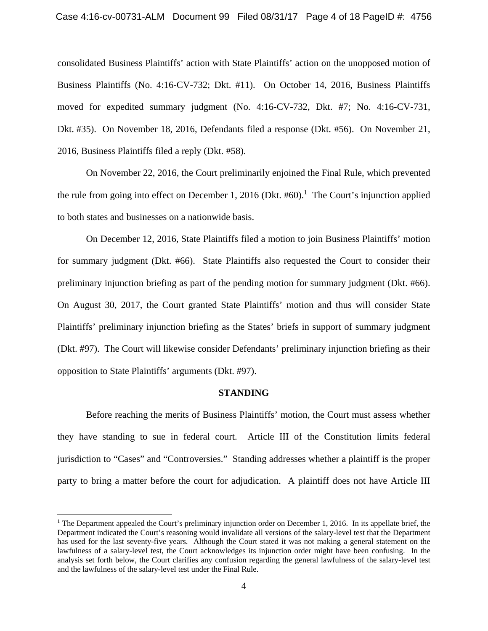consolidated Business Plaintiffs' action with State Plaintiffs' action on the unopposed motion of Business Plaintiffs (No. 4:16-CV-732; Dkt. #11). On October 14, 2016, Business Plaintiffs moved for expedited summary judgment (No. 4:16-CV-732, Dkt. #7; No. 4:16-CV-731, Dkt. #35). On November 18, 2016, Defendants filed a response (Dkt. #56). On November 21, 2016, Business Plaintiffs filed a reply (Dkt. #58).

On November 22, 2016, the Court preliminarily enjoined the Final Rule, which prevented the rule from going into effect on December 1, 2016 (Dkt.  $#60$ ).<sup>1</sup> The Court's injunction applied to both states and businesses on a nationwide basis.

On December 12, 2016, State Plaintiffs filed a motion to join Business Plaintiffs' motion for summary judgment (Dkt. #66). State Plaintiffs also requested the Court to consider their preliminary injunction briefing as part of the pending motion for summary judgment (Dkt. #66). On August 30, 2017, the Court granted State Plaintiffs' motion and thus will consider State Plaintiffs' preliminary injunction briefing as the States' briefs in support of summary judgment (Dkt. #97). The Court will likewise consider Defendants' preliminary injunction briefing as their opposition to State Plaintiffs' arguments (Dkt. #97).

#### **STANDING**

Before reaching the merits of Business Plaintiffs' motion, the Court must assess whether they have standing to sue in federal court. Article III of the Constitution limits federal jurisdiction to "Cases" and "Controversies." Standing addresses whether a plaintiff is the proper party to bring a matter before the court for adjudication. A plaintiff does not have Article III

<u>.</u>

<sup>&</sup>lt;sup>1</sup> The Department appealed the Court's preliminary injunction order on December 1, 2016. In its appellate brief, the Department indicated the Court's reasoning would invalidate all versions of the salary-level test that the Department has used for the last seventy-five years. Although the Court stated it was not making a general statement on the lawfulness of a salary-level test, the Court acknowledges its injunction order might have been confusing. In the analysis set forth below, the Court clarifies any confusion regarding the general lawfulness of the salary-level test and the lawfulness of the salary-level test under the Final Rule.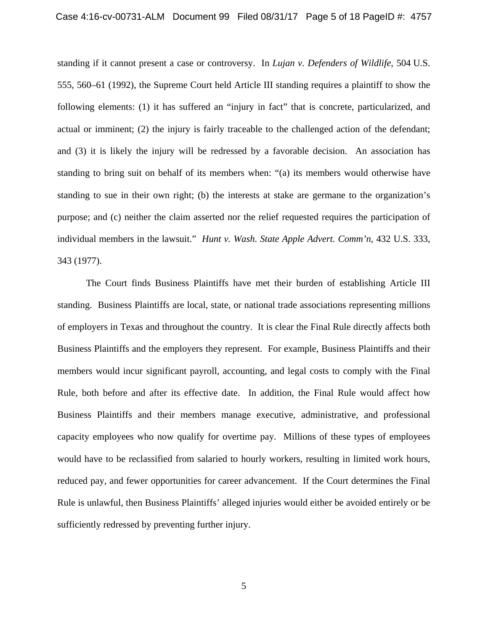standing if it cannot present a case or controversy. In *Lujan v. Defenders of Wildlife*, 504 U.S. 555, 560–61 (1992), the Supreme Court held Article III standing requires a plaintiff to show the following elements: (1) it has suffered an "injury in fact" that is concrete, particularized, and actual or imminent; (2) the injury is fairly traceable to the challenged action of the defendant; and (3) it is likely the injury will be redressed by a favorable decision. An association has standing to bring suit on behalf of its members when: "(a) its members would otherwise have standing to sue in their own right; (b) the interests at stake are germane to the organization's purpose; and (c) neither the claim asserted nor the relief requested requires the participation of individual members in the lawsuit." *Hunt v. Wash. State Apple Advert. Comm'n*, 432 U.S. 333, 343 (1977).

The Court finds Business Plaintiffs have met their burden of establishing Article III standing. Business Plaintiffs are local, state, or national trade associations representing millions of employers in Texas and throughout the country. It is clear the Final Rule directly affects both Business Plaintiffs and the employers they represent. For example, Business Plaintiffs and their members would incur significant payroll, accounting, and legal costs to comply with the Final Rule, both before and after its effective date. In addition, the Final Rule would affect how Business Plaintiffs and their members manage executive, administrative, and professional capacity employees who now qualify for overtime pay. Millions of these types of employees would have to be reclassified from salaried to hourly workers, resulting in limited work hours, reduced pay, and fewer opportunities for career advancement. If the Court determines the Final Rule is unlawful, then Business Plaintiffs' alleged injuries would either be avoided entirely or be sufficiently redressed by preventing further injury.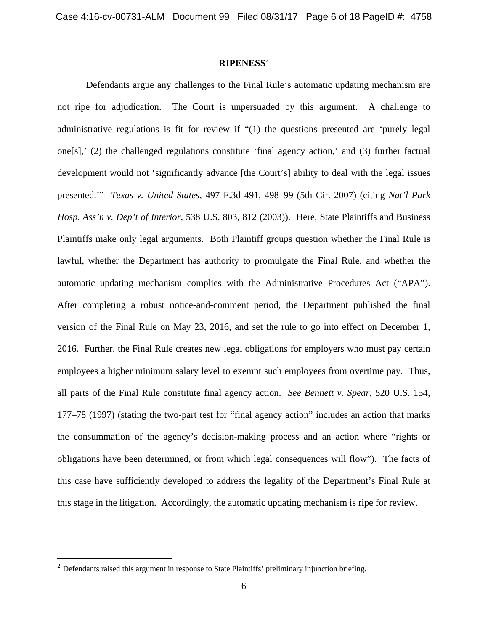# **RIPENESS**<sup>2</sup>

Defendants argue any challenges to the Final Rule's automatic updating mechanism are not ripe for adjudication. The Court is unpersuaded by this argument. A challenge to administrative regulations is fit for review if "(1) the questions presented are 'purely legal one[s],' (2) the challenged regulations constitute 'final agency action,' and (3) further factual development would not 'significantly advance [the Court's] ability to deal with the legal issues presented.'" *Texas v. United States*, 497 F.3d 491, 498–99 (5th Cir. 2007) (citing *Nat'l Park Hosp. Ass'n v. Dep't of Interior*, 538 U.S. 803, 812 (2003)). Here, State Plaintiffs and Business Plaintiffs make only legal arguments. Both Plaintiff groups question whether the Final Rule is lawful, whether the Department has authority to promulgate the Final Rule, and whether the automatic updating mechanism complies with the Administrative Procedures Act ("APA"). After completing a robust notice-and-comment period, the Department published the final version of the Final Rule on May 23, 2016, and set the rule to go into effect on December 1, 2016. Further, the Final Rule creates new legal obligations for employers who must pay certain employees a higher minimum salary level to exempt such employees from overtime pay. Thus, all parts of the Final Rule constitute final agency action. *See Bennett v. Spear*, 520 U.S. 154, 177–78 (1997) (stating the two-part test for "final agency action" includes an action that marks the consummation of the agency's decision-making process and an action where "rights or obligations have been determined, or from which legal consequences will flow"). The facts of this case have sufficiently developed to address the legality of the Department's Final Rule at this stage in the litigation. Accordingly, the automatic updating mechanism is ripe for review.

 $2$  Defendants raised this argument in response to State Plaintiffs' preliminary injunction briefing.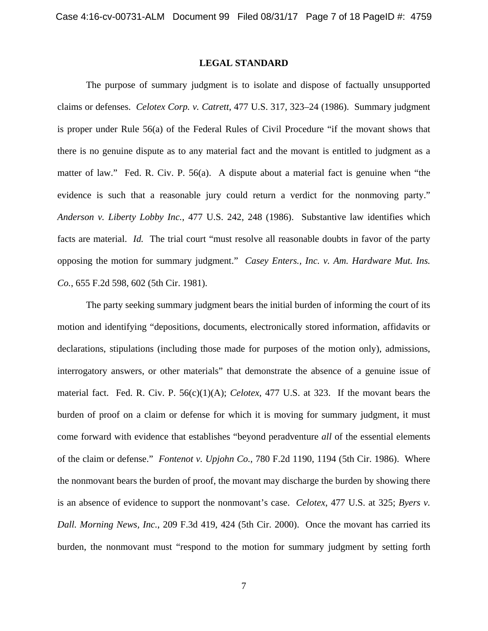#### **LEGAL STANDARD**

The purpose of summary judgment is to isolate and dispose of factually unsupported claims or defenses. *Celotex Corp. v. Catrett*, 477 U.S. 317, 323–24 (1986). Summary judgment is proper under Rule 56(a) of the Federal Rules of Civil Procedure "if the movant shows that there is no genuine dispute as to any material fact and the movant is entitled to judgment as a matter of law." Fed. R. Civ. P. 56(a). A dispute about a material fact is genuine when "the evidence is such that a reasonable jury could return a verdict for the nonmoving party." *Anderson v. Liberty Lobby Inc.*, 477 U.S. 242, 248 (1986). Substantive law identifies which facts are material. *Id.* The trial court "must resolve all reasonable doubts in favor of the party opposing the motion for summary judgment." *Casey Enters., Inc. v. Am. Hardware Mut. Ins. Co.*, 655 F.2d 598, 602 (5th Cir. 1981).

The party seeking summary judgment bears the initial burden of informing the court of its motion and identifying "depositions, documents, electronically stored information, affidavits or declarations, stipulations (including those made for purposes of the motion only), admissions, interrogatory answers, or other materials" that demonstrate the absence of a genuine issue of material fact. Fed. R. Civ. P. 56(c)(1)(A); *Celotex*, 477 U.S. at 323. If the movant bears the burden of proof on a claim or defense for which it is moving for summary judgment, it must come forward with evidence that establishes "beyond peradventure *all* of the essential elements of the claim or defense." *Fontenot v. Upjohn Co.*, 780 F.2d 1190, 1194 (5th Cir. 1986). Where the nonmovant bears the burden of proof, the movant may discharge the burden by showing there is an absence of evidence to support the nonmovant's case. *Celotex*, 477 U.S. at 325; *Byers v. Dall. Morning News, Inc.*, 209 F.3d 419, 424 (5th Cir. 2000). Once the movant has carried its burden, the nonmovant must "respond to the motion for summary judgment by setting forth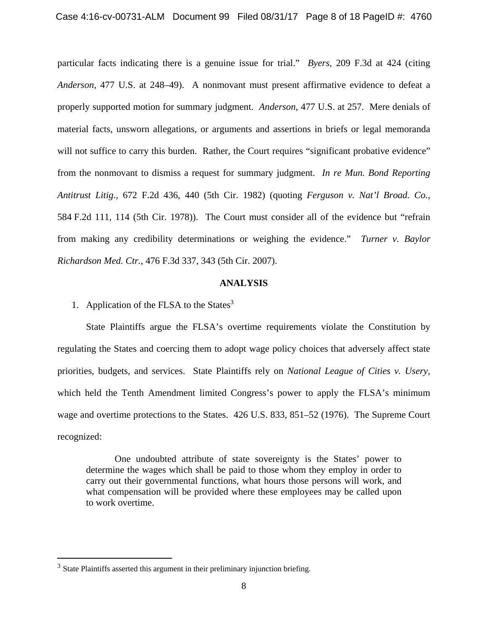particular facts indicating there is a genuine issue for trial." *Byers*, 209 F.3d at 424 (citing *Anderson*, 477 U.S. at 248–49). A nonmovant must present affirmative evidence to defeat a properly supported motion for summary judgment. *Anderson*, 477 U.S. at 257. Mere denials of material facts, unsworn allegations, or arguments and assertions in briefs or legal memoranda will not suffice to carry this burden. Rather, the Court requires "significant probative evidence" from the nonmovant to dismiss a request for summary judgment. *In re Mun. Bond Reporting Antitrust Litig.*, 672 F.2d 436, 440 (5th Cir. 1982) (quoting *Ferguson v. Nat'l Broad. Co.*, 584 F.2d 111, 114 (5th Cir. 1978)). The Court must consider all of the evidence but "refrain from making any credibility determinations or weighing the evidence." *Turner v. Baylor Richardson Med. Ctr.*, 476 F.3d 337, 343 (5th Cir. 2007).

## **ANALYSIS**

1. Application of the FLSA to the States $3$ 

State Plaintiffs argue the FLSA's overtime requirements violate the Constitution by regulating the States and coercing them to adopt wage policy choices that adversely affect state priorities, budgets, and services. State Plaintiffs rely on *National League of Cities v. Usery*, which held the Tenth Amendment limited Congress's power to apply the FLSA's minimum wage and overtime protections to the States. 426 U.S. 833, 851–52 (1976). The Supreme Court recognized:

One undoubted attribute of state sovereignty is the States' power to determine the wages which shall be paid to those whom they employ in order to carry out their governmental functions, what hours those persons will work, and what compensation will be provided where these employees may be called upon to work overtime.

<sup>&</sup>lt;sup>3</sup> State Plaintiffs asserted this argument in their preliminary injunction briefing.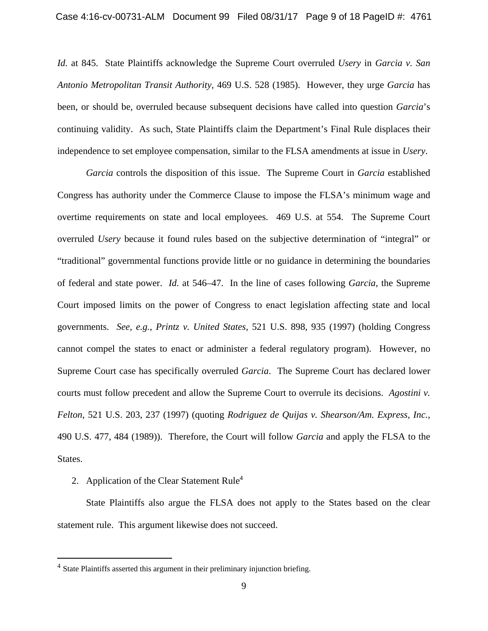*Id.* at 845. State Plaintiffs acknowledge the Supreme Court overruled *Usery* in *Garcia v. San Antonio Metropolitan Transit Authority*, 469 U.S. 528 (1985). However, they urge *Garcia* has been, or should be, overruled because subsequent decisions have called into question *Garcia*'s continuing validity. As such, State Plaintiffs claim the Department's Final Rule displaces their independence to set employee compensation, similar to the FLSA amendments at issue in *Usery*.

*Garcia* controls the disposition of this issue. The Supreme Court in *Garcia* established Congress has authority under the Commerce Clause to impose the FLSA's minimum wage and overtime requirements on state and local employees. 469 U.S. at 554. The Supreme Court overruled *Usery* because it found rules based on the subjective determination of "integral" or "traditional" governmental functions provide little or no guidance in determining the boundaries of federal and state power. *Id.* at 546–47. In the line of cases following *Garcia*, the Supreme Court imposed limits on the power of Congress to enact legislation affecting state and local governments. *See, e.g.*, *Printz v. United States*, 521 U.S. 898, 935 (1997) (holding Congress cannot compel the states to enact or administer a federal regulatory program). However, no Supreme Court case has specifically overruled *Garcia*. The Supreme Court has declared lower courts must follow precedent and allow the Supreme Court to overrule its decisions. *Agostini v. Felton*, 521 U.S. 203, 237 (1997) (quoting *Rodriguez de Quijas v. Shearson/Am. Express, Inc.*, 490 U.S. 477, 484 (1989)). Therefore, the Court will follow *Garcia* and apply the FLSA to the States.

2. Application of the Clear Statement Rule<sup>4</sup>

 $\overline{a}$ 

State Plaintiffs also argue the FLSA does not apply to the States based on the clear statement rule. This argument likewise does not succeed.

<sup>4</sup> State Plaintiffs asserted this argument in their preliminary injunction briefing.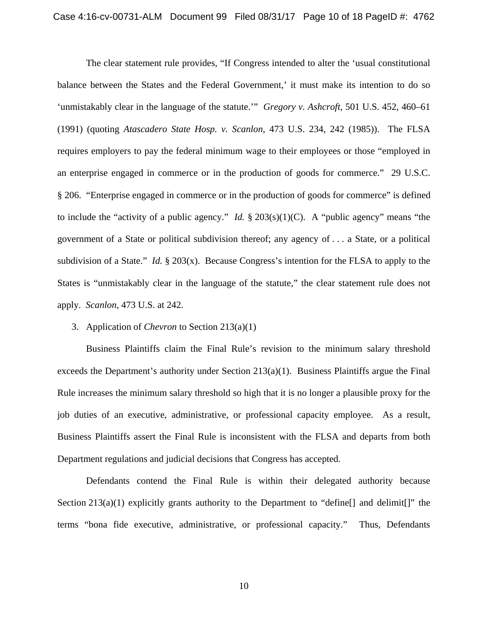The clear statement rule provides, "If Congress intended to alter the 'usual constitutional balance between the States and the Federal Government,' it must make its intention to do so 'unmistakably clear in the language of the statute.'" *Gregory v. Ashcroft*, 501 U.S. 452, 460–61 (1991) (quoting *Atascadero State Hosp. v. Scanlon*, 473 U.S. 234, 242 (1985)). The FLSA requires employers to pay the federal minimum wage to their employees or those "employed in an enterprise engaged in commerce or in the production of goods for commerce." 29 U.S.C. § 206. "Enterprise engaged in commerce or in the production of goods for commerce" is defined to include the "activity of a public agency." *Id.* § 203(s)(1)(C). A "public agency" means "the government of a State or political subdivision thereof; any agency of . . . a State, or a political subdivision of a State." *Id.* § 203(x). Because Congress's intention for the FLSA to apply to the States is "unmistakably clear in the language of the statute," the clear statement rule does not apply. *Scanlon*, 473 U.S. at 242.

3. Application of *Chevron* to Section 213(a)(1)

Business Plaintiffs claim the Final Rule's revision to the minimum salary threshold exceeds the Department's authority under Section 213(a)(1). Business Plaintiffs argue the Final Rule increases the minimum salary threshold so high that it is no longer a plausible proxy for the job duties of an executive, administrative, or professional capacity employee. As a result, Business Plaintiffs assert the Final Rule is inconsistent with the FLSA and departs from both Department regulations and judicial decisions that Congress has accepted.

Defendants contend the Final Rule is within their delegated authority because Section 213(a)(1) explicitly grants authority to the Department to "define [] and delimit []" the terms "bona fide executive, administrative, or professional capacity." Thus, Defendants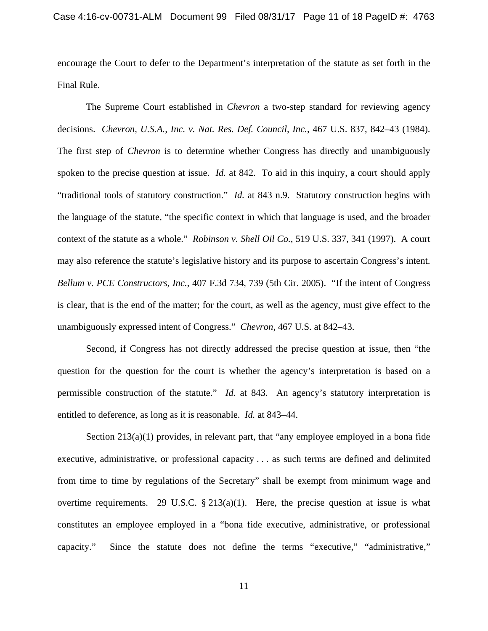encourage the Court to defer to the Department's interpretation of the statute as set forth in the Final Rule.

The Supreme Court established in *Chevron* a two-step standard for reviewing agency decisions. *Chevron, U.S.A., Inc. v. Nat. Res. Def. Council, Inc.*, 467 U.S. 837, 842–43 (1984). The first step of *Chevron* is to determine whether Congress has directly and unambiguously spoken to the precise question at issue. *Id.* at 842. To aid in this inquiry, a court should apply "traditional tools of statutory construction." *Id.* at 843 n.9. Statutory construction begins with the language of the statute, "the specific context in which that language is used, and the broader context of the statute as a whole." *Robinson v. Shell Oil Co.*, 519 U.S. 337, 341 (1997). A court may also reference the statute's legislative history and its purpose to ascertain Congress's intent. *Bellum v. PCE Constructors, Inc.*, 407 F.3d 734, 739 (5th Cir. 2005). "If the intent of Congress is clear, that is the end of the matter; for the court, as well as the agency, must give effect to the unambiguously expressed intent of Congress." *Chevron*, 467 U.S. at 842–43.

Second, if Congress has not directly addressed the precise question at issue, then "the question for the question for the court is whether the agency's interpretation is based on a permissible construction of the statute." *Id.* at 843. An agency's statutory interpretation is entitled to deference, as long as it is reasonable. *Id.* at 843–44.

Section 213(a)(1) provides, in relevant part, that "any employee employed in a bona fide executive, administrative, or professional capacity . . . as such terms are defined and delimited from time to time by regulations of the Secretary" shall be exempt from minimum wage and overtime requirements. 29 U.S.C.  $\S 213(a)(1)$ . Here, the precise question at issue is what constitutes an employee employed in a "bona fide executive, administrative, or professional capacity." Since the statute does not define the terms "executive," "administrative,"

11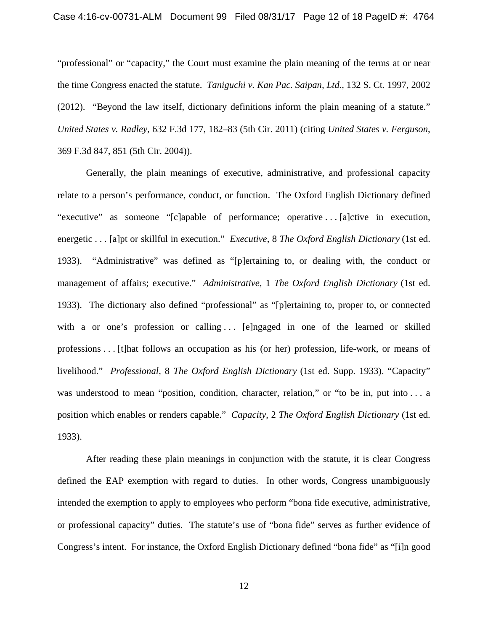"professional" or "capacity," the Court must examine the plain meaning of the terms at or near the time Congress enacted the statute. *Taniguchi v. Kan Pac. Saipan, Ltd.*, 132 S. Ct. 1997, 2002 (2012). "Beyond the law itself, dictionary definitions inform the plain meaning of a statute." *United States v. Radley*, 632 F.3d 177, 182–83 (5th Cir. 2011) (citing *United States v. Ferguson*, 369 F.3d 847, 851 (5th Cir. 2004)).

Generally, the plain meanings of executive, administrative, and professional capacity relate to a person's performance, conduct, or function. The Oxford English Dictionary defined "executive" as someone "[c]apable of performance; operative ... [a]ctive in execution, energetic . . . [a]pt or skillful in execution." *Executive*, 8 *The Oxford English Dictionary* (1st ed. 1933). "Administrative" was defined as "[p]ertaining to, or dealing with, the conduct or management of affairs; executive." *Administrative*, 1 *The Oxford English Dictionary* (1st ed. 1933). The dictionary also defined "professional" as "[p]ertaining to, proper to, or connected with a or one's profession or calling  $\ldots$  [e]ngaged in one of the learned or skilled professions . . . [t]hat follows an occupation as his (or her) profession, life-work, or means of livelihood." *Professional*, 8 *The Oxford English Dictionary* (1st ed. Supp. 1933). "Capacity" was understood to mean "position, condition, character, relation," or "to be in, put into ... a position which enables or renders capable." *Capacity*, 2 *The Oxford English Dictionary* (1st ed. 1933).

After reading these plain meanings in conjunction with the statute, it is clear Congress defined the EAP exemption with regard to duties. In other words, Congress unambiguously intended the exemption to apply to employees who perform "bona fide executive, administrative, or professional capacity" duties. The statute's use of "bona fide" serves as further evidence of Congress's intent. For instance, the Oxford English Dictionary defined "bona fide" as "[i]n good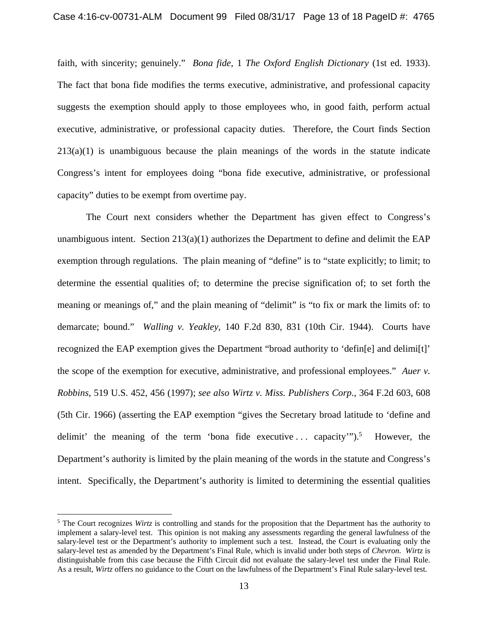faith, with sincerity; genuinely." *Bona fide*, 1 *The Oxford English Dictionary* (1st ed. 1933). The fact that bona fide modifies the terms executive, administrative, and professional capacity suggests the exemption should apply to those employees who, in good faith, perform actual executive, administrative, or professional capacity duties. Therefore, the Court finds Section  $213(a)(1)$  is unambiguous because the plain meanings of the words in the statute indicate Congress's intent for employees doing "bona fide executive, administrative, or professional capacity" duties to be exempt from overtime pay.

The Court next considers whether the Department has given effect to Congress's unambiguous intent. Section  $213(a)(1)$  authorizes the Department to define and delimit the EAP exemption through regulations. The plain meaning of "define" is to "state explicitly; to limit; to determine the essential qualities of; to determine the precise signification of; to set forth the meaning or meanings of," and the plain meaning of "delimit" is "to fix or mark the limits of: to demarcate; bound." *Walling v. Yeakley*, 140 F.2d 830, 831 (10th Cir. 1944). Courts have recognized the EAP exemption gives the Department "broad authority to 'defin[e] and delimi[t]' the scope of the exemption for executive, administrative, and professional employees." *Auer v. Robbins*, 519 U.S. 452, 456 (1997); *see also Wirtz v. Miss. Publishers Corp.*, 364 F.2d 603, 608 (5th Cir. 1966) (asserting the EAP exemption "gives the Secretary broad latitude to 'define and delimit' the meaning of the term 'bona fide executive ... capacity'" $)$ .<sup>5</sup> However, the Department's authority is limited by the plain meaning of the words in the statute and Congress's intent. Specifically, the Department's authority is limited to determining the essential qualities

<sup>&</sup>lt;sup>5</sup> The Court recognizes *Wirtz* is controlling and stands for the proposition that the Department has the authority to implement a salary-level test. This opinion is not making any assessments regarding the general lawfulness of the salary-level test or the Department's authority to implement such a test. Instead, the Court is evaluating only the salary-level test as amended by the Department's Final Rule, which is invalid under both steps of *Chevron*. *Wirtz* is distinguishable from this case because the Fifth Circuit did not evaluate the salary-level test under the Final Rule. As a result, *Wirtz* offers no guidance to the Court on the lawfulness of the Department's Final Rule salary-level test.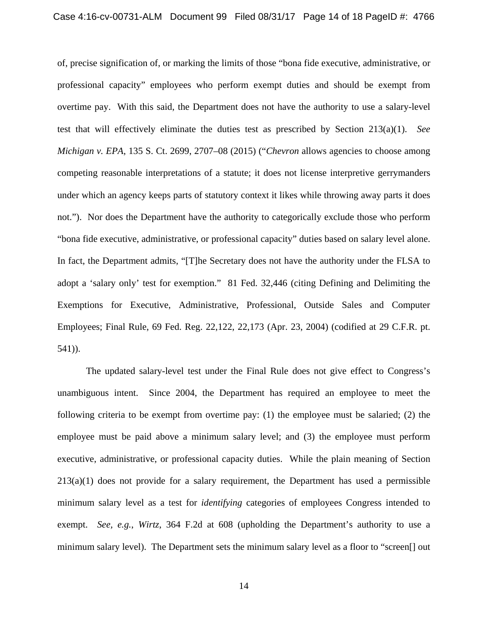of, precise signification of, or marking the limits of those "bona fide executive, administrative, or professional capacity" employees who perform exempt duties and should be exempt from overtime pay. With this said, the Department does not have the authority to use a salary-level test that will effectively eliminate the duties test as prescribed by Section 213(a)(1). *See Michigan v. EPA*, 135 S. Ct. 2699, 2707–08 (2015) ("*Chevron* allows agencies to choose among competing reasonable interpretations of a statute; it does not license interpretive gerrymanders under which an agency keeps parts of statutory context it likes while throwing away parts it does not."). Nor does the Department have the authority to categorically exclude those who perform "bona fide executive, administrative, or professional capacity" duties based on salary level alone. In fact, the Department admits, "[T]he Secretary does not have the authority under the FLSA to adopt a 'salary only' test for exemption." 81 Fed. 32,446 (citing Defining and Delimiting the Exemptions for Executive, Administrative, Professional, Outside Sales and Computer Employees; Final Rule, 69 Fed. Reg. 22,122, 22,173 (Apr. 23, 2004) (codified at 29 C.F.R. pt. 541)).

The updated salary-level test under the Final Rule does not give effect to Congress's unambiguous intent. Since 2004, the Department has required an employee to meet the following criteria to be exempt from overtime pay:  $(1)$  the employee must be salaried;  $(2)$  the employee must be paid above a minimum salary level; and (3) the employee must perform executive, administrative, or professional capacity duties. While the plain meaning of Section  $213(a)(1)$  does not provide for a salary requirement, the Department has used a permissible minimum salary level as a test for *identifying* categories of employees Congress intended to exempt. *See, e.g.*, *Wirtz*, 364 F.2d at 608 (upholding the Department's authority to use a minimum salary level). The Department sets the minimum salary level as a floor to "screen[] out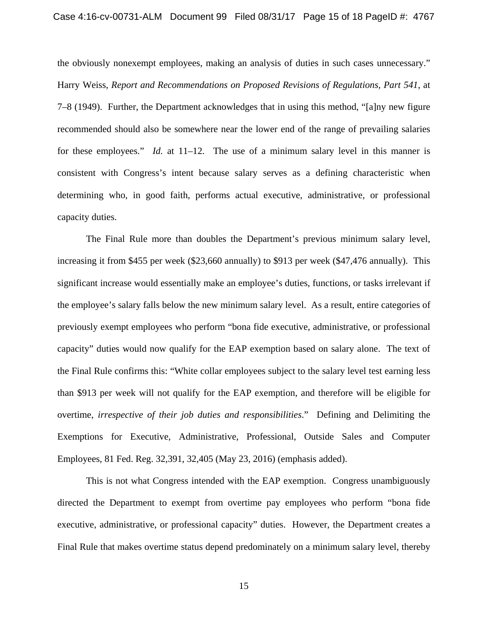#### Case 4:16-cv-00731-ALM Document 99 Filed 08/31/17 Page 15 of 18 PageID #: 4767

the obviously nonexempt employees, making an analysis of duties in such cases unnecessary." Harry Weiss, *Report and Recommendations on Proposed Revisions of Regulations, Part 541*, at 7–8 (1949). Further, the Department acknowledges that in using this method, "[a]ny new figure recommended should also be somewhere near the lower end of the range of prevailing salaries for these employees." *Id.* at 11–12. The use of a minimum salary level in this manner is consistent with Congress's intent because salary serves as a defining characteristic when determining who, in good faith, performs actual executive, administrative, or professional capacity duties.

The Final Rule more than doubles the Department's previous minimum salary level, increasing it from \$455 per week (\$23,660 annually) to \$913 per week (\$47,476 annually). This significant increase would essentially make an employee's duties, functions, or tasks irrelevant if the employee's salary falls below the new minimum salary level. As a result, entire categories of previously exempt employees who perform "bona fide executive, administrative, or professional capacity" duties would now qualify for the EAP exemption based on salary alone. The text of the Final Rule confirms this: "White collar employees subject to the salary level test earning less than \$913 per week will not qualify for the EAP exemption, and therefore will be eligible for overtime, *irrespective of their job duties and responsibilities*." Defining and Delimiting the Exemptions for Executive, Administrative, Professional, Outside Sales and Computer Employees, 81 Fed. Reg. 32,391, 32,405 (May 23, 2016) (emphasis added).

This is not what Congress intended with the EAP exemption. Congress unambiguously directed the Department to exempt from overtime pay employees who perform "bona fide executive, administrative, or professional capacity" duties. However, the Department creates a Final Rule that makes overtime status depend predominately on a minimum salary level, thereby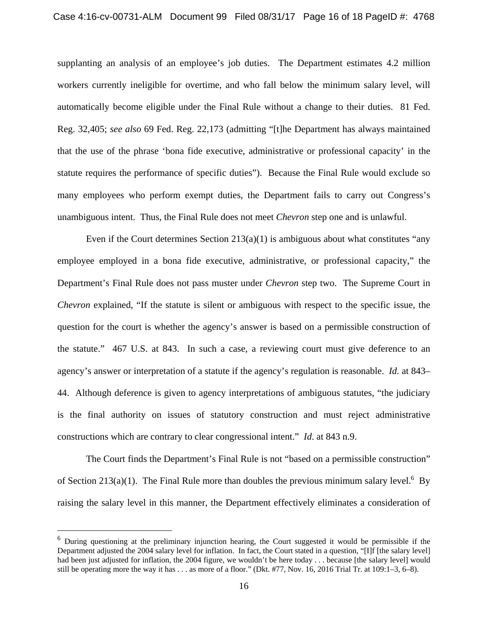supplanting an analysis of an employee's job duties. The Department estimates 4.2 million workers currently ineligible for overtime, and who fall below the minimum salary level, will automatically become eligible under the Final Rule without a change to their duties. 81 Fed. Reg. 32,405; *see also* 69 Fed. Reg. 22,173 (admitting "[t]he Department has always maintained that the use of the phrase 'bona fide executive, administrative or professional capacity' in the statute requires the performance of specific duties"). Because the Final Rule would exclude so many employees who perform exempt duties, the Department fails to carry out Congress's unambiguous intent. Thus, the Final Rule does not meet *Chevron* step one and is unlawful.

Even if the Court determines Section  $213(a)(1)$  is ambiguous about what constitutes "any employee employed in a bona fide executive, administrative, or professional capacity," the Department's Final Rule does not pass muster under *Chevron* step two. The Supreme Court in *Chevron* explained, "If the statute is silent or ambiguous with respect to the specific issue, the question for the court is whether the agency's answer is based on a permissible construction of the statute." 467 U.S. at 843. In such a case, a reviewing court must give deference to an agency's answer or interpretation of a statute if the agency's regulation is reasonable. *Id.* at 843– 44. Although deference is given to agency interpretations of ambiguous statutes, "the judiciary is the final authority on issues of statutory construction and must reject administrative constructions which are contrary to clear congressional intent." *Id*. at 843 n.9.

The Court finds the Department's Final Rule is not "based on a permissible construction" of Section 213(a)(1). The Final Rule more than doubles the previous minimum salary level.<sup>6</sup> By raising the salary level in this manner, the Department effectively eliminates a consideration of

<sup>6</sup> During questioning at the preliminary injunction hearing, the Court suggested it would be permissible if the Department adjusted the 2004 salary level for inflation. In fact, the Court stated in a question, "[I]f [the salary level] had been just adjusted for inflation, the 2004 figure, we wouldn't be here today . . . because [the salary level] would still be operating more the way it has . . . as more of a floor." (Dkt. #77, Nov. 16, 2016 Trial Tr. at 109:1–3, 6–8).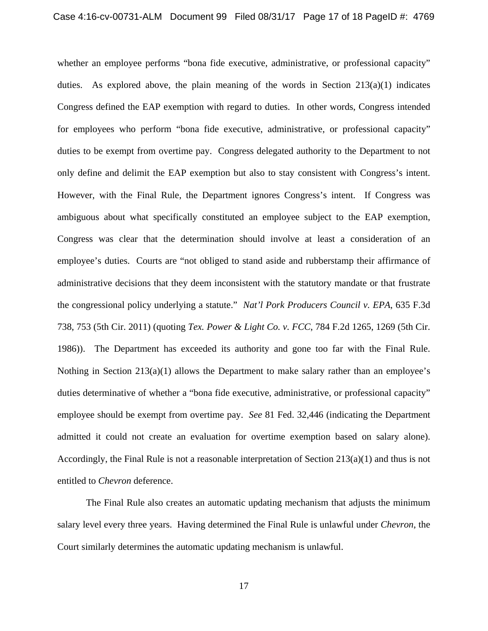whether an employee performs "bona fide executive, administrative, or professional capacity" duties. As explored above, the plain meaning of the words in Section  $213(a)(1)$  indicates Congress defined the EAP exemption with regard to duties. In other words, Congress intended for employees who perform "bona fide executive, administrative, or professional capacity" duties to be exempt from overtime pay. Congress delegated authority to the Department to not only define and delimit the EAP exemption but also to stay consistent with Congress's intent. However, with the Final Rule, the Department ignores Congress's intent. If Congress was ambiguous about what specifically constituted an employee subject to the EAP exemption, Congress was clear that the determination should involve at least a consideration of an employee's duties. Courts are "not obliged to stand aside and rubberstamp their affirmance of administrative decisions that they deem inconsistent with the statutory mandate or that frustrate the congressional policy underlying a statute." *Nat'l Pork Producers Council v. EPA*, 635 F.3d 738, 753 (5th Cir. 2011) (quoting *Tex. Power & Light Co. v. FCC*, 784 F.2d 1265, 1269 (5th Cir. 1986)). The Department has exceeded its authority and gone too far with the Final Rule. Nothing in Section 213(a)(1) allows the Department to make salary rather than an employee's duties determinative of whether a "bona fide executive, administrative, or professional capacity" employee should be exempt from overtime pay. *See* 81 Fed. 32,446 (indicating the Department admitted it could not create an evaluation for overtime exemption based on salary alone). Accordingly, the Final Rule is not a reasonable interpretation of Section 213(a)(1) and thus is not entitled to *Chevron* deference.

The Final Rule also creates an automatic updating mechanism that adjusts the minimum salary level every three years. Having determined the Final Rule is unlawful under *Chevron*, the Court similarly determines the automatic updating mechanism is unlawful.